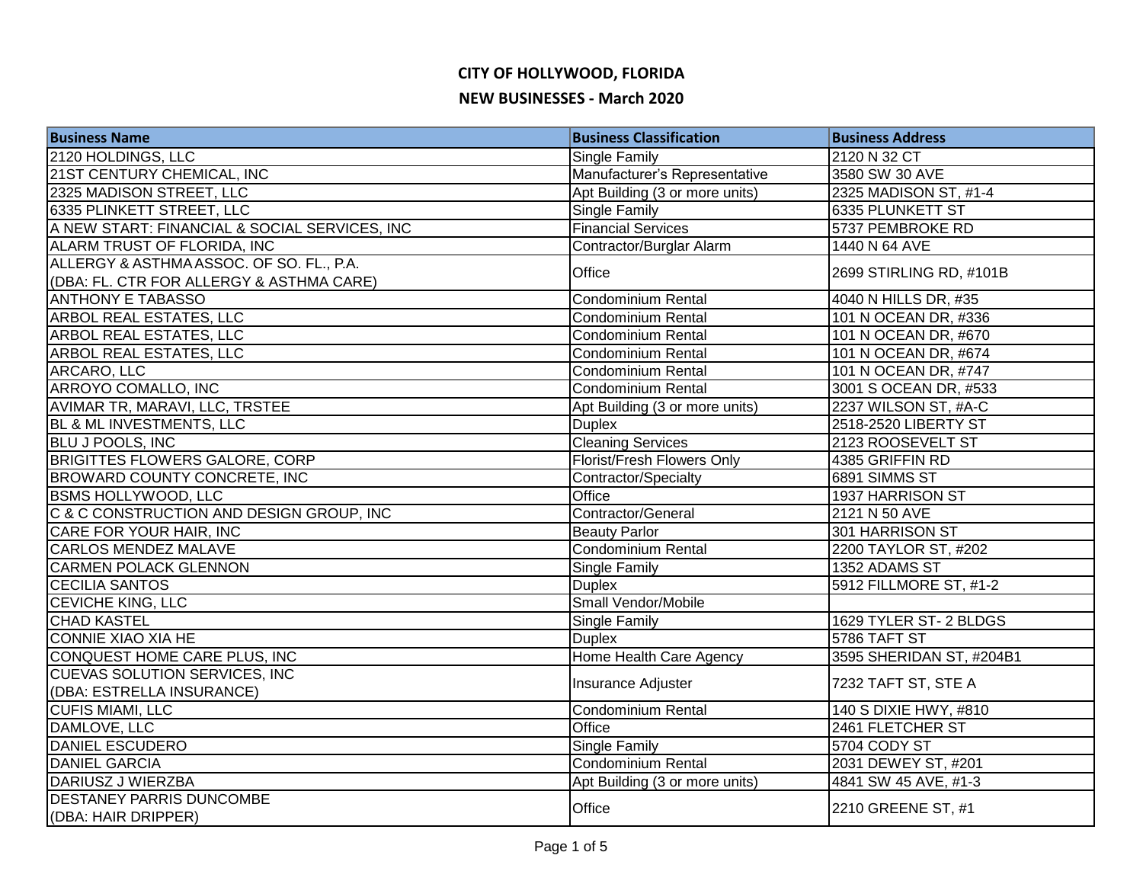# **CITY OF HOLLYWOOD, FLORIDA**

### **NEW BUSINESSES - March 2020**

| <b>Business Name</b>                          | <b>Business Classification</b> | <b>Business Address</b>  |
|-----------------------------------------------|--------------------------------|--------------------------|
| 2120 HOLDINGS, LLC                            | <b>Single Family</b>           | 2120 N 32 CT             |
| 21ST CENTURY CHEMICAL, INC                    | Manufacturer's Representative  | 3580 SW 30 AVE           |
| 2325 MADISON STREET, LLC                      | Apt Building (3 or more units) | 2325 MADISON ST, #1-4    |
| 6335 PLINKETT STREET, LLC                     | <b>Single Family</b>           | 6335 PLUNKETT ST         |
| A NEW START: FINANCIAL & SOCIAL SERVICES, INC | <b>Financial Services</b>      | 5737 PEMBROKE RD         |
| ALARM TRUST OF FLORIDA, INC                   | Contractor/Burglar Alarm       | 1440 N 64 AVE            |
| ALLERGY & ASTHMA ASSOC. OF SO. FL., P.A.      |                                | 2699 STIRLING RD, #101B  |
| (DBA: FL. CTR FOR ALLERGY & ASTHMA CARE)      | Office                         |                          |
| <b>ANTHONY E TABASSO</b>                      | Condominium Rental             | 4040 N HILLS DR, #35     |
| <b>ARBOL REAL ESTATES, LLC</b>                | <b>Condominium Rental</b>      | 101 N OCEAN DR, #336     |
| <b>ARBOL REAL ESTATES, LLC</b>                | <b>Condominium Rental</b>      | 101 N OCEAN DR, #670     |
| ARBOL REAL ESTATES, LLC                       | Condominium Rental             | 101 N OCEAN DR, #674     |
| ARCARO, LLC                                   | <b>Condominium Rental</b>      | 101 N OCEAN DR, #747     |
| ARROYO COMALLO, INC                           | Condominium Rental             | 3001 S OCEAN DR, #533    |
| AVIMAR TR, MARAVI, LLC, TRSTEE                | Apt Building (3 or more units) | 2237 WILSON ST, #A-C     |
| <b>BL &amp; ML INVESTMENTS, LLC</b>           | <b>Duplex</b>                  | 2518-2520 LIBERTY ST     |
| <b>BLU J POOLS, INC</b>                       | <b>Cleaning Services</b>       | 2123 ROOSEVELT ST        |
| <b>BRIGITTES FLOWERS GALORE, CORP</b>         | Florist/Fresh Flowers Only     | 4385 GRIFFIN RD          |
| BROWARD COUNTY CONCRETE, INC                  | Contractor/Specialty           | 6891 SIMMS ST            |
| <b>BSMS HOLLYWOOD, LLC</b>                    | Office                         | 1937 HARRISON ST         |
| C & C CONSTRUCTION AND DESIGN GROUP, INC      | Contractor/General             | 2121 N 50 AVE            |
| CARE FOR YOUR HAIR, INC                       | <b>Beauty Parlor</b>           | 301 HARRISON ST          |
| <b>CARLOS MENDEZ MALAVE</b>                   | Condominium Rental             | 2200 TAYLOR ST, #202     |
| <b>CARMEN POLACK GLENNON</b>                  | Single Family                  | 1352 ADAMS ST            |
| <b>CECILIA SANTOS</b>                         | <b>Duplex</b>                  | 5912 FILLMORE ST, #1-2   |
| <b>CEVICHE KING, LLC</b>                      | Small Vendor/Mobile            |                          |
| <b>CHAD KASTEL</b>                            | <b>Single Family</b>           | 1629 TYLER ST-2 BLDGS    |
| <b>CONNIE XIAO XIA HE</b>                     | <b>Duplex</b>                  | 5786 TAFT ST             |
| CONQUEST HOME CARE PLUS, INC                  | Home Health Care Agency        | 3595 SHERIDAN ST, #204B1 |
| CUEVAS SOLUTION SERVICES, INC                 | Insurance Adjuster             | 7232 TAFT ST, STE A      |
| (DBA: ESTRELLA INSURANCE)                     |                                |                          |
| <b>CUFIS MIAMI, LLC</b>                       | Condominium Rental             | 140 S DIXIE HWY, #810    |
| DAMLOVE, LLC                                  | Office                         | 2461 FLETCHER ST         |
| <b>DANIEL ESCUDERO</b>                        | Single Family                  | 5704 CODY ST             |
| <b>DANIEL GARCIA</b>                          | Condominium Rental             | 2031 DEWEY ST, #201      |
| DARIUSZ J WIERZBA                             | Apt Building (3 or more units) | 4841 SW 45 AVE, #1-3     |
| <b>DESTANEY PARRIS DUNCOMBE</b>               | Office                         | 2210 GREENE ST, #1       |
| (DBA: HAIR DRIPPER)                           |                                |                          |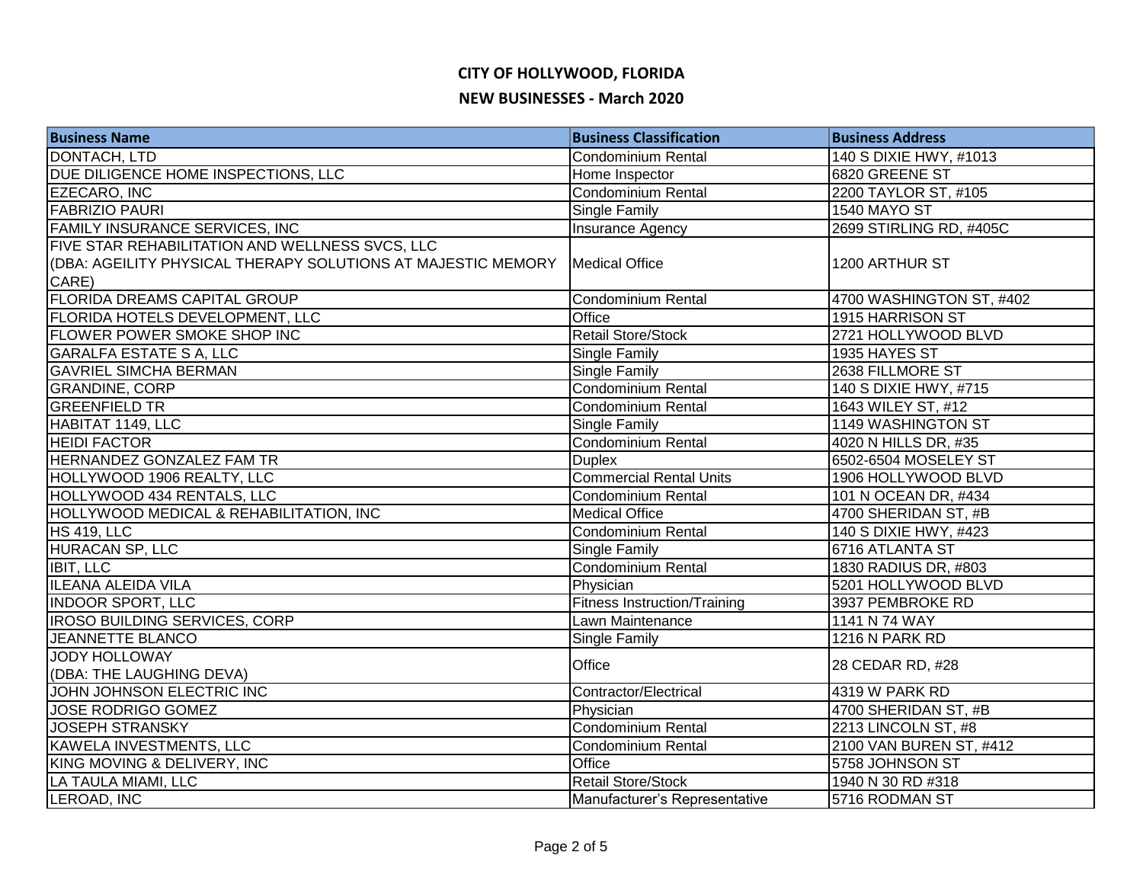## **CITY OF HOLLYWOOD, FLORIDA**

#### **NEW BUSINESSES - March 2020**

| <b>Business Name</b>                                         | <b>Business Classification</b>      | <b>Business Address</b>  |
|--------------------------------------------------------------|-------------------------------------|--------------------------|
| DONTACH, LTD                                                 | <b>Condominium Rental</b>           | 140 S DIXIE HWY, #1013   |
| DUE DILIGENCE HOME INSPECTIONS, LLC                          | Home Inspector                      | 6820 GREENE ST           |
| EZECARO, INC                                                 | <b>Condominium Rental</b>           | 2200 TAYLOR ST, #105     |
| <b>FABRIZIO PAURI</b>                                        | Single Family                       | <b>1540 MAYO ST</b>      |
| FAMILY INSURANCE SERVICES, INC                               | Insurance Agency                    | 2699 STIRLING RD, #405C  |
| FIVE STAR REHABILITATION AND WELLNESS SVCS, LLC              |                                     |                          |
| (DBA: AGEILITY PHYSICAL THERAPY SOLUTIONS AT MAJESTIC MEMORY | <b>Medical Office</b>               | 1200 ARTHUR ST           |
| CARE)                                                        |                                     |                          |
| FLORIDA DREAMS CAPITAL GROUP                                 | <b>Condominium Rental</b>           | 4700 WASHINGTON ST, #402 |
| FLORIDA HOTELS DEVELOPMENT, LLC                              | Office                              | 1915 HARRISON ST         |
| FLOWER POWER SMOKE SHOP INC                                  | <b>Retail Store/Stock</b>           | 2721 HOLLYWOOD BLVD      |
| <b>GARALFA ESTATE S A, LLC</b>                               | Single Family                       | 1935 HAYES ST            |
| <b>GAVRIEL SIMCHA BERMAN</b>                                 | Single Family                       | 2638 FILLMORE ST         |
| <b>GRANDINE, CORP</b>                                        | <b>Condominium Rental</b>           | 140 S DIXIE HWY, #715    |
| <b>GREENFIELD TR</b>                                         | Condominium Rental                  | 1643 WILEY ST, #12       |
| HABITAT 1149, LLC                                            | Single Family                       | 1149 WASHINGTON ST       |
| <b>HEIDI FACTOR</b>                                          | Condominium Rental                  | 4020 N HILLS DR, #35     |
| HERNANDEZ GONZALEZ FAM TR                                    | <b>Duplex</b>                       | 6502-6504 MOSELEY ST     |
| HOLLYWOOD 1906 REALTY, LLC                                   | <b>Commercial Rental Units</b>      | 1906 HOLLYWOOD BLVD      |
| HOLLYWOOD 434 RENTALS, LLC                                   | <b>Condominium Rental</b>           | 101 N OCEAN DR, #434     |
| HOLLYWOOD MEDICAL & REHABILITATION, INC                      | <b>Medical Office</b>               | 4700 SHERIDAN ST, #B     |
| <b>HS 419, LLC</b>                                           | Condominium Rental                  | 140 S DIXIE HWY, #423    |
| HURACAN SP, LLC                                              | Single Family                       | 6716 ATLANTA ST          |
| <b>IBIT, LLC</b>                                             | Condominium Rental                  | 1830 RADIUS DR, #803     |
| <b>ILEANA ALEIDA VILA</b>                                    | Physician                           | 5201 HOLLYWOOD BLVD      |
| <b>INDOOR SPORT, LLC</b>                                     | <b>Fitness Instruction/Training</b> | 3937 PEMBROKE RD         |
| IROSO BUILDING SERVICES, CORP                                | Lawn Maintenance                    | 1141 N 74 WAY            |
| <b>JEANNETTE BLANCO</b>                                      | Single Family                       | 1216 N PARK RD           |
| <b>JODY HOLLOWAY</b>                                         | Office                              | 28 CEDAR RD, #28         |
| (DBA: THE LAUGHING DEVA)                                     |                                     |                          |
| JOHN JOHNSON ELECTRIC INC                                    | Contractor/Electrical               | 4319 W PARK RD           |
| <b>JOSE RODRIGO GOMEZ</b>                                    | Physician                           | 4700 SHERIDAN ST, #B     |
| <b>JOSEPH STRANSKY</b>                                       | <b>Condominium Rental</b>           | 2213 LINCOLN ST, #8      |
| <b>KAWELA INVESTMENTS, LLC</b>                               | Condominium Rental                  | 2100 VAN BUREN ST, #412  |
| KING MOVING & DELIVERY, INC                                  | Office                              | 5758 JOHNSON ST          |
| LA TAULA MIAMI, LLC                                          | <b>Retail Store/Stock</b>           | 1940 N 30 RD #318        |
| LEROAD, INC                                                  | Manufacturer's Representative       | 5716 RODMAN ST           |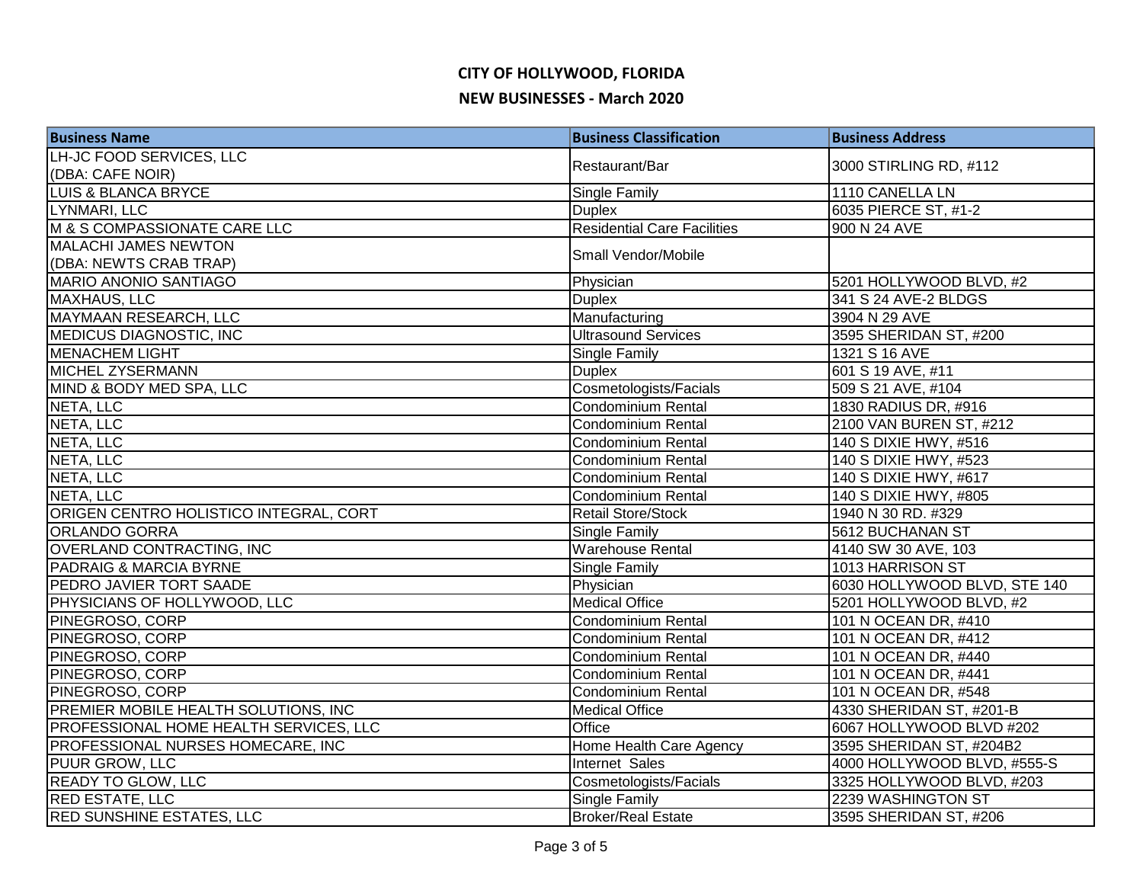# **CITY OF HOLLYWOOD, FLORIDA NEW BUSINESSES - March 2020**

| <b>Business Name</b>                   | <b>Business Classification</b>     | <b>Business Address</b>      |
|----------------------------------------|------------------------------------|------------------------------|
| LH-JC FOOD SERVICES, LLC               | Restaurant/Bar                     | 3000 STIRLING RD, #112       |
| (DBA: CAFE NOIR)                       |                                    |                              |
| <b>LUIS &amp; BLANCA BRYCE</b>         | Single Family                      | 1110 CANELLA LN              |
| LYNMARI, LLC                           | <b>Duplex</b>                      | 6035 PIERCE ST, #1-2         |
| M & S COMPASSIONATE CARE LLC           | <b>Residential Care Facilities</b> | 900 N 24 AVE                 |
| <b>MALACHI JAMES NEWTON</b>            | Small Vendor/Mobile                |                              |
| (DBA: NEWTS CRAB TRAP)                 |                                    |                              |
| <b>MARIO ANONIO SANTIAGO</b>           | Physician                          | 5201 HOLLYWOOD BLVD, #2      |
| <b>MAXHAUS, LLC</b>                    | <b>Duplex</b>                      | 341 S 24 AVE-2 BLDGS         |
| MAYMAAN RESEARCH, LLC                  | Manufacturing                      | 3904 N 29 AVE                |
| <b>MEDICUS DIAGNOSTIC, INC</b>         | <b>Ultrasound Services</b>         | 3595 SHERIDAN ST, #200       |
| <b>MENACHEM LIGHT</b>                  | Single Family                      | 1321 S 16 AVE                |
| MICHEL ZYSERMANN                       | <b>Duplex</b>                      | 601 S 19 AVE, #11            |
| MIND & BODY MED SPA, LLC               | Cosmetologists/Facials             | 509 S 21 AVE, #104           |
| NETA, LLC                              | Condominium Rental                 | 1830 RADIUS DR, #916         |
| NETA, LLC                              | Condominium Rental                 | 2100 VAN BUREN ST, #212      |
| NETA, LLC                              | Condominium Rental                 | 140 S DIXIE HWY, #516        |
| NETA, LLC                              | Condominium Rental                 | 140 S DIXIE HWY, #523        |
| NETA, LLC                              | Condominium Rental                 | 140 S DIXIE HWY, #617        |
| NETA, LLC                              | Condominium Rental                 | 140 S DIXIE HWY, #805        |
| ORIGEN CENTRO HOLISTICO INTEGRAL, CORT | Retail Store/Stock                 | 1940 N 30 RD. #329           |
| <b>ORLANDO GORRA</b>                   | Single Family                      | 5612 BUCHANAN ST             |
| OVERLAND CONTRACTING, INC              | <b>Warehouse Rental</b>            | 4140 SW 30 AVE, 103          |
| PADRAIG & MARCIA BYRNE                 | Single Family                      | 1013 HARRISON ST             |
| PEDRO JAVIER TORT SAADE                | Physician                          | 6030 HOLLYWOOD BLVD, STE 140 |
| PHYSICIANS OF HOLLYWOOD, LLC           | <b>Medical Office</b>              | 5201 HOLLYWOOD BLVD, #2      |
| PINEGROSO, CORP                        | Condominium Rental                 | 101 N OCEAN DR, #410         |
| PINEGROSO, CORP                        | Condominium Rental                 | 101 N OCEAN DR, #412         |
| PINEGROSO, CORP                        | Condominium Rental                 | 101 N OCEAN DR, #440         |
| PINEGROSO, CORP                        | <b>Condominium Rental</b>          | 101 N OCEAN DR, #441         |
| PINEGROSO, CORP                        | <b>Condominium Rental</b>          | 101 N OCEAN DR, #548         |
| PREMIER MOBILE HEALTH SOLUTIONS, INC   | <b>Medical Office</b>              | 4330 SHERIDAN ST, #201-B     |
| PROFESSIONAL HOME HEALTH SERVICES, LLC | Office                             | 6067 HOLLYWOOD BLVD #202     |
| PROFESSIONAL NURSES HOMECARE, INC      | Home Health Care Agency            | 3595 SHERIDAN ST, #204B2     |
| <b>PUUR GROW, LLC</b>                  | Internet Sales                     | 4000 HOLLYWOOD BLVD, #555-S  |
| <b>READY TO GLOW, LLC</b>              | Cosmetologists/Facials             | 3325 HOLLYWOOD BLVD, #203    |
| <b>RED ESTATE, LLC</b>                 | <b>Single Family</b>               | 2239 WASHINGTON ST           |
| <b>RED SUNSHINE ESTATES, LLC</b>       | <b>Broker/Real Estate</b>          | 3595 SHERIDAN ST, #206       |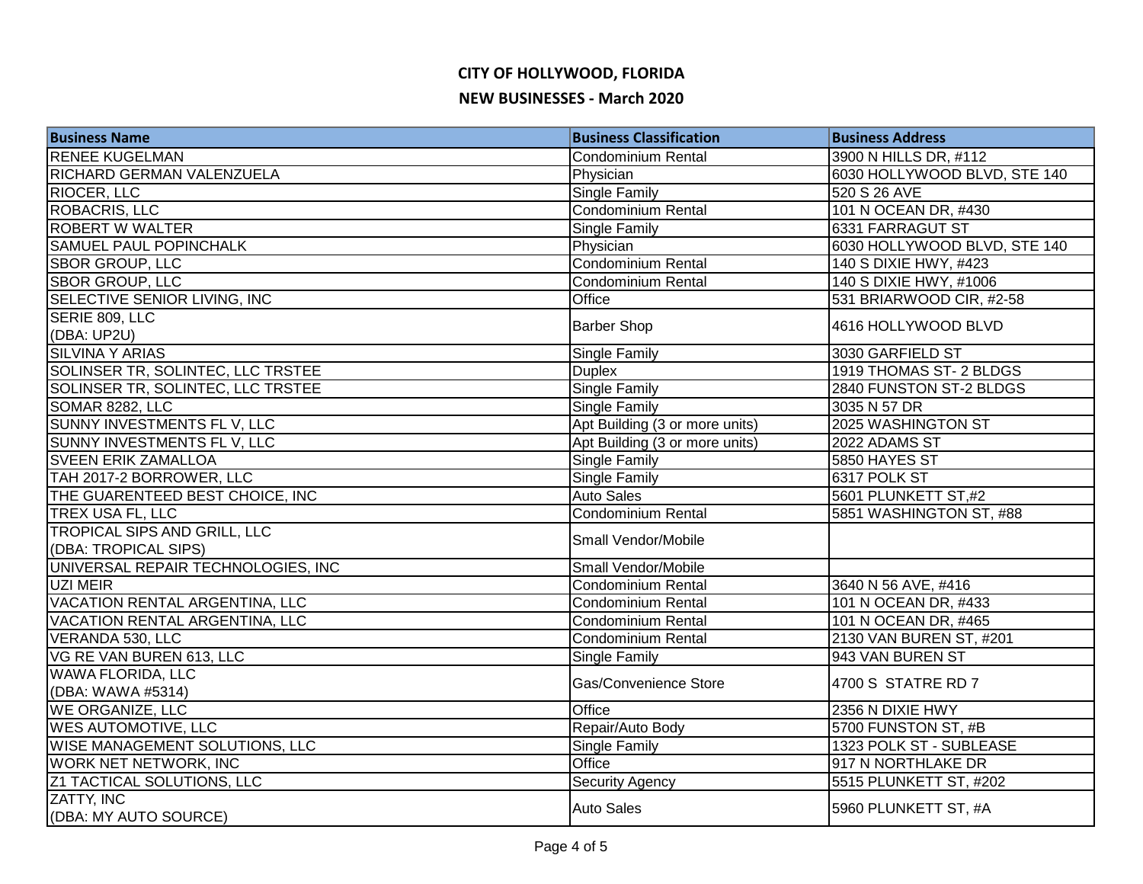# **CITY OF HOLLYWOOD, FLORIDA NEW BUSINESSES - March 2020**

| <b>Business Name</b>                     | <b>Business Classification</b> | <b>Business Address</b>      |
|------------------------------------------|--------------------------------|------------------------------|
| <b>RENEE KUGELMAN</b>                    | Condominium Rental             | 3900 N HILLS DR, #112        |
| RICHARD GERMAN VALENZUELA                | Physician                      | 6030 HOLLYWOOD BLVD, STE 140 |
| RIOCER, LLC                              | Single Family                  | 520 S 26 AVE                 |
| <b>ROBACRIS, LLC</b>                     | Condominium Rental             | 101 N OCEAN DR, #430         |
| <b>ROBERT W WALTER</b>                   | <b>Single Family</b>           | 6331 FARRAGUT ST             |
| <b>SAMUEL PAUL POPINCHALK</b>            | Physician                      | 6030 HOLLYWOOD BLVD, STE 140 |
| <b>SBOR GROUP, LLC</b>                   | Condominium Rental             | 140 S DIXIE HWY, #423        |
| <b>SBOR GROUP, LLC</b>                   | <b>Condominium Rental</b>      | 140 S DIXIE HWY, #1006       |
| SELECTIVE SENIOR LIVING, INC             | Office                         | 531 BRIARWOOD CIR, #2-58     |
| SERIE 809, LLC                           | <b>Barber Shop</b>             | 4616 HOLLYWOOD BLVD          |
| (DBA: UP2U)                              |                                |                              |
| <b>SILVINA Y ARIAS</b>                   | Single Family                  | 3030 GARFIELD ST             |
| SOLINSER TR, SOLINTEC, LLC TRSTEE        | <b>Duplex</b>                  | 1919 THOMAS ST- 2 BLDGS      |
| <b>SOLINSER TR, SOLINTEC, LLC TRSTEE</b> | <b>Single Family</b>           | 2840 FUNSTON ST-2 BLDGS      |
| SOMAR 8282, LLC                          | Single Family                  | 3035 N 57 DR                 |
| SUNNY INVESTMENTS FL V, LLC              | Apt Building (3 or more units) | 2025 WASHINGTON ST           |
| SUNNY INVESTMENTS FL V, LLC              | Apt Building (3 or more units) | 2022 ADAMS ST                |
| <b>SVEEN ERIK ZAMALLOA</b>               | <b>Single Family</b>           | 5850 HAYES ST                |
| TAH 2017-2 BORROWER, LLC                 | <b>Single Family</b>           | 6317 POLK ST                 |
| THE GUARENTEED BEST CHOICE, INC          | <b>Auto Sales</b>              | 5601 PLUNKETT ST,#2          |
| TREX USA FL, LLC                         | Condominium Rental             | 5851 WASHINGTON ST, #88      |
| TROPICAL SIPS AND GRILL, LLC             | Small Vendor/Mobile            |                              |
| (DBA: TROPICAL SIPS)                     |                                |                              |
| UNIVERSAL REPAIR TECHNOLOGIES, INC       | Small Vendor/Mobile            |                              |
| UZI MEIR                                 | <b>Condominium Rental</b>      | 3640 N 56 AVE, #416          |
| VACATION RENTAL ARGENTINA, LLC           | Condominium Rental             | 101 N OCEAN DR, #433         |
| VACATION RENTAL ARGENTINA, LLC           | Condominium Rental             | 101 N OCEAN DR, #465         |
| <b>VERANDA 530, LLC</b>                  | Condominium Rental             | 2130 VAN BUREN ST, #201      |
| VG RE VAN BUREN 613, LLC                 | Single Family                  | 943 VAN BUREN ST             |
| <b>WAWA FLORIDA, LLC</b>                 | Gas/Convenience Store          | 4700 S STATRE RD 7           |
| (DBA: WAWA #5314)                        |                                |                              |
| <b>WE ORGANIZE, LLC</b>                  | Office                         | 2356 N DIXIE HWY             |
| <b>WES AUTOMOTIVE, LLC</b>               | Repair/Auto Body               | 5700 FUNSTON ST, #B          |
| <b>WISE MANAGEMENT SOLUTIONS, LLC</b>    | Single Family                  | 1323 POLK ST - SUBLEASE      |
| <b>WORK NET NETWORK, INC</b>             | Office                         | 917 N NORTHLAKE DR           |
| <b>Z1 TACTICAL SOLUTIONS, LLC</b>        | <b>Security Agency</b>         | 5515 PLUNKETT ST, #202       |
| ZATTY, INC                               | <b>Auto Sales</b>              | 5960 PLUNKETT ST, #A         |
| (DBA: MY AUTO SOURCE)                    |                                |                              |